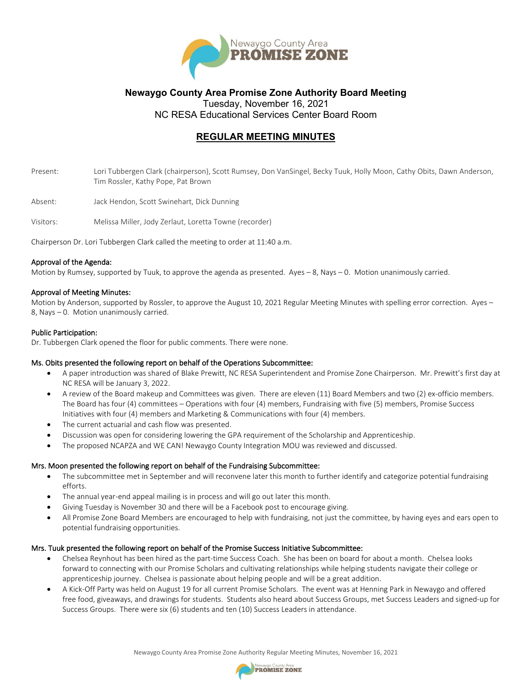

# **Newaygo County Area Promise Zone Authority Board Meeting**  Tuesday, November 16, 2021

NC RESA Educational Services Center Board Room

# **REGULAR MEETING MINUTES**

- Present: Lori Tubbergen Clark (chairperson), Scott Rumsey, Don VanSingel, Becky Tuuk, Holly Moon, Cathy Obits, Dawn Anderson, Tim Rossler, Kathy Pope, Pat Brown
- Absent: Jack Hendon, Scott Swinehart, Dick Dunning
- Visitors: Melissa Miller, Jody Zerlaut, Loretta Towne (recorder)

Chairperson Dr. Lori Tubbergen Clark called the meeting to order at 11:40 a.m.

## Approval of the Agenda:

Motion by Rumsey, supported by Tuuk, to approve the agenda as presented. Ayes – 8, Nays – 0. Motion unanimously carried.

## Approval of Meeting Minutes:

Motion by Anderson, supported by Rossler, to approve the August 10, 2021 Regular Meeting Minutes with spelling error correction. Ayes – 8, Nays – 0. Motion unanimously carried.

## Public Participation:

Dr. Tubbergen Clark opened the floor for public comments. There were none.

## Ms. Obits presented the following report on behalf of the Operations Subcommittee:

- A paper introduction was shared of Blake Prewitt, NC RESA Superintendent and Promise Zone Chairperson. Mr. Prewitt's first day at NC RESA will be January 3, 2022.
- A review of the Board makeup and Committees was given. There are eleven (11) Board Members and two (2) ex-officio members. The Board has four (4) committees – Operations with four (4) members, Fundraising with five (5) members, Promise Success Initiatives with four (4) members and Marketing & Communications with four (4) members.
- The current actuarial and cash flow was presented.
- Discussion was open for considering lowering the GPA requirement of the Scholarship and Apprenticeship.
- The proposed NCAPZA and WE CAN! Newaygo County Integration MOU was reviewed and discussed.

## Mrs. Moon presented the following report on behalf of the Fundraising Subcommittee:

- The subcommittee met in September and will reconvene later this month to further identify and categorize potential fundraising efforts.
- The annual year-end appeal mailing is in process and will go out later this month.
- Giving Tuesday is November 30 and there will be a Facebook post to encourage giving.
- All Promise Zone Board Members are encouraged to help with fundraising, not just the committee, by having eyes and ears open to potential fundraising opportunities.

## Mrs. Tuuk presented the following report on behalf of the Promise Success Initiative Subcommittee:

- Chelsea Reynhout has been hired as the part-time Success Coach. She has been on board for about a month. Chelsea looks forward to connecting with our Promise Scholars and cultivating relationships while helping students navigate their college or apprenticeship journey. Chelsea is passionate about helping people and will be a great addition.
- A Kick-Off Party was held on August 19 for all current Promise Scholars. The event was at Henning Park in Newaygo and offered free food, giveaways, and drawings for students. Students also heard about Success Groups, met Success Leaders and signed-up for Success Groups. There were six (6) students and ten (10) Success Leaders in attendance.